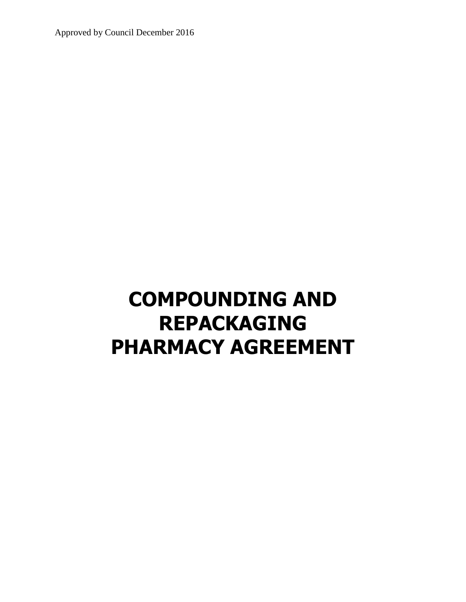Approved by Council December 2016

# **COMPOUNDING AND REPACKAGING PHARMACY AGREEMENT**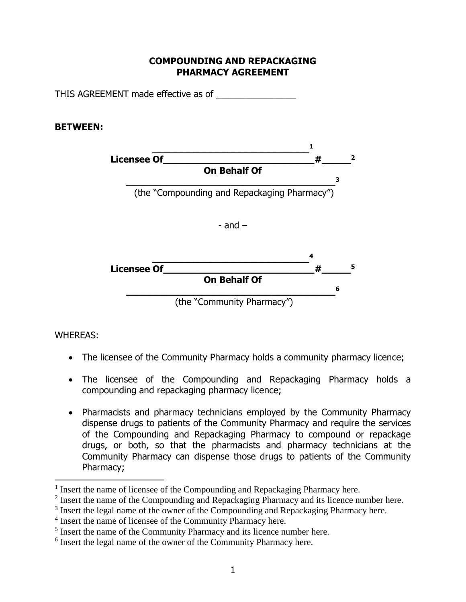## **COMPOUNDING AND REPACKAGING PHARMACY AGREEMENT**

THIS AGREEMENT made effective as of

#### **BETWEEN:**



WHEREAS:

 $\overline{a}$ 

- The licensee of the Community Pharmacy holds a community pharmacy licence;
- The licensee of the Compounding and Repackaging Pharmacy holds a compounding and repackaging pharmacy licence;
- Pharmacists and pharmacy technicians employed by the Community Pharmacy dispense drugs to patients of the Community Pharmacy and require the services of the Compounding and Repackaging Pharmacy to compound or repackage drugs, or both, so that the pharmacists and pharmacy technicians at the Community Pharmacy can dispense those drugs to patients of the Community Pharmacy;

<sup>&</sup>lt;sup>1</sup> Insert the name of licensee of the Compounding and Repackaging Pharmacy here.

 $2$  Insert the name of the Compounding and Repackaging Pharmacy and its licence number here.

<sup>&</sup>lt;sup>3</sup> Insert the legal name of the owner of the Compounding and Repackaging Pharmacy here.

<sup>&</sup>lt;sup>4</sup> Insert the name of licensee of the Community Pharmacy here.

<sup>&</sup>lt;sup>5</sup> Insert the name of the Community Pharmacy and its licence number here.

<sup>&</sup>lt;sup>6</sup> Insert the legal name of the owner of the Community Pharmacy here.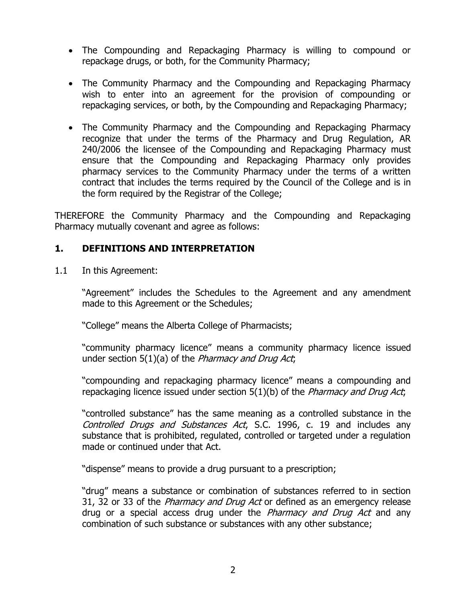- The Compounding and Repackaging Pharmacy is willing to compound or repackage drugs, or both, for the Community Pharmacy;
- The Community Pharmacy and the Compounding and Repackaging Pharmacy wish to enter into an agreement for the provision of compounding or repackaging services, or both, by the Compounding and Repackaging Pharmacy;
- The Community Pharmacy and the Compounding and Repackaging Pharmacy recognize that under the terms of the Pharmacy and Drug Regulation, AR 240/2006 the licensee of the Compounding and Repackaging Pharmacy must ensure that the Compounding and Repackaging Pharmacy only provides pharmacy services to the Community Pharmacy under the terms of a written contract that includes the terms required by the Council of the College and is in the form required by the Registrar of the College;

THEREFORE the Community Pharmacy and the Compounding and Repackaging Pharmacy mutually covenant and agree as follows:

#### **1. DEFINITIONS AND INTERPRETATION**

1.1 In this Agreement:

"Agreement" includes the Schedules to the Agreement and any amendment made to this Agreement or the Schedules;

"College" means the Alberta College of Pharmacists;

"community pharmacy licence" means a community pharmacy licence issued under section  $5(1)(a)$  of the *Pharmacy and Drug Act*,

"compounding and repackaging pharmacy licence" means a compounding and repackaging licence issued under section  $5(1)(b)$  of the *Pharmacy and Drug Act*;

"controlled substance" has the same meaning as a controlled substance in the Controlled Drugs and Substances Act, S.C. 1996, c. 19 and includes any substance that is prohibited, regulated, controlled or targeted under a regulation made or continued under that Act.

"dispense" means to provide a drug pursuant to a prescription;

"drug" means a substance or combination of substances referred to in section 31, 32 or 33 of the *Pharmacy and Drug Act* or defined as an emergency release drug or a special access drug under the *Pharmacy and Drug Act* and any combination of such substance or substances with any other substance;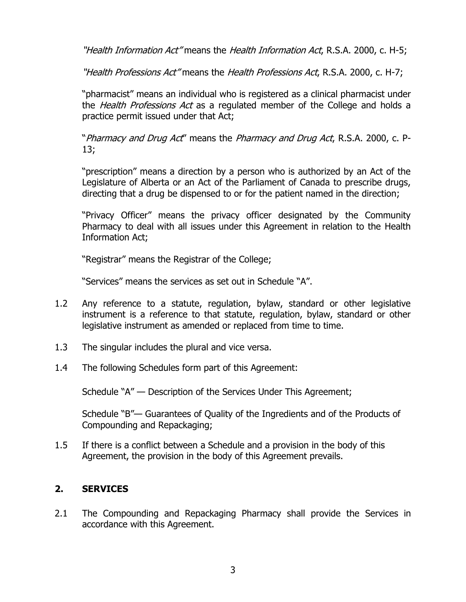"Health Information Act" means the Health Information Act, R.S.A. 2000, c. H-5;

"Health Professions Act" means the Health Professions Act, R.S.A. 2000, c. H-7;

"pharmacist" means an individual who is registered as a clinical pharmacist under the *Health Professions Act* as a regulated member of the College and holds a practice permit issued under that Act;

"Pharmacy and Drug Act" means the Pharmacy and Drug Act, R.S.A. 2000, c. P-13;

"prescription" means a direction by a person who is authorized by an Act of the Legislature of Alberta or an Act of the Parliament of Canada to prescribe drugs, directing that a drug be dispensed to or for the patient named in the direction;

"Privacy Officer" means the privacy officer designated by the Community Pharmacy to deal with all issues under this Agreement in relation to the Health Information Act;

"Registrar" means the Registrar of the College;

"Services" means the services as set out in Schedule "A".

- 1.2 Any reference to a statute, regulation, bylaw, standard or other legislative instrument is a reference to that statute, regulation, bylaw, standard or other legislative instrument as amended or replaced from time to time.
- 1.3 The singular includes the plural and vice versa.
- 1.4 The following Schedules form part of this Agreement:

Schedule "A" — Description of the Services Under This Agreement;

Schedule "B"— Guarantees of Quality of the Ingredients and of the Products of Compounding and Repackaging;

1.5 If there is a conflict between a Schedule and a provision in the body of this Agreement, the provision in the body of this Agreement prevails.

# **2. SERVICES**

2.1 The Compounding and Repackaging Pharmacy shall provide the Services in accordance with this Agreement.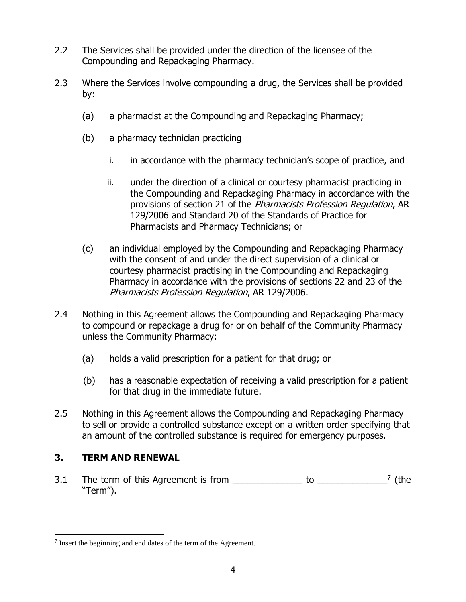- 2.2 The Services shall be provided under the direction of the licensee of the Compounding and Repackaging Pharmacy.
- 2.3 Where the Services involve compounding a drug, the Services shall be provided by:
	- (a) a pharmacist at the Compounding and Repackaging Pharmacy;
	- (b) a pharmacy technician practicing
		- i. in accordance with the pharmacy technician's scope of practice, and
		- ii. under the direction of a clinical or courtesy pharmacist practicing in the Compounding and Repackaging Pharmacy in accordance with the provisions of section 21 of the Pharmacists Profession Regulation, AR 129/2006 and Standard 20 of the Standards of Practice for Pharmacists and Pharmacy Technicians; or
	- (c) an individual employed by the Compounding and Repackaging Pharmacy with the consent of and under the direct supervision of a clinical or courtesy pharmacist practising in the Compounding and Repackaging Pharmacy in accordance with the provisions of sections 22 and 23 of the Pharmacists Profession Regulation, AR 129/2006.
- 2.4 Nothing in this Agreement allows the Compounding and Repackaging Pharmacy to compound or repackage a drug for or on behalf of the Community Pharmacy unless the Community Pharmacy:
	- (a) holds a valid prescription for a patient for that drug; or
	- (b) has a reasonable expectation of receiving a valid prescription for a patient for that drug in the immediate future.
- 2.5 Nothing in this Agreement allows the Compounding and Repackaging Pharmacy to sell or provide a controlled substance except on a written order specifying that an amount of the controlled substance is required for emergency purposes.

# **3. TERM AND RENEWAL**

 $\overline{a}$ 

3.1 The term of this Agreement is from  $\frac{1}{2}$  to  $\frac{1}{2}$   $\frac{1}{2}$  (the "Term").

 $<sup>7</sup>$  Insert the beginning and end dates of the term of the Agreement.</sup>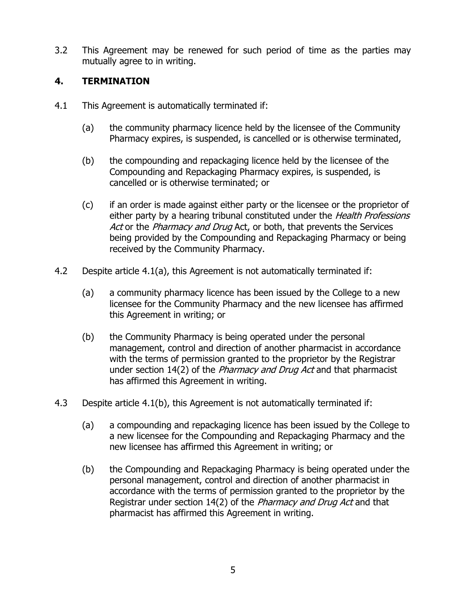3.2 This Agreement may be renewed for such period of time as the parties may mutually agree to in writing.

## **4. TERMINATION**

- 4.1 This Agreement is automatically terminated if:
	- (a) the community pharmacy licence held by the licensee of the Community Pharmacy expires, is suspended, is cancelled or is otherwise terminated,
	- (b) the compounding and repackaging licence held by the licensee of the Compounding and Repackaging Pharmacy expires, is suspended, is cancelled or is otherwise terminated; or
	- (c) if an order is made against either party or the licensee or the proprietor of either party by a hearing tribunal constituted under the *Health Professions* Act or the Pharmacy and Drug Act, or both, that prevents the Services being provided by the Compounding and Repackaging Pharmacy or being received by the Community Pharmacy.
- 4.2 Despite article 4.1(a), this Agreement is not automatically terminated if:
	- (a) a community pharmacy licence has been issued by the College to a new licensee for the Community Pharmacy and the new licensee has affirmed this Agreement in writing; or
	- (b) the Community Pharmacy is being operated under the personal management, control and direction of another pharmacist in accordance with the terms of permission granted to the proprietor by the Registrar under section 14(2) of the *Pharmacy and Drug Act* and that pharmacist has affirmed this Agreement in writing.
- 4.3 Despite article 4.1(b), this Agreement is not automatically terminated if:
	- (a) a compounding and repackaging licence has been issued by the College to a new licensee for the Compounding and Repackaging Pharmacy and the new licensee has affirmed this Agreement in writing; or
	- (b) the Compounding and Repackaging Pharmacy is being operated under the personal management, control and direction of another pharmacist in accordance with the terms of permission granted to the proprietor by the Registrar under section 14(2) of the *Pharmacy and Drug Act* and that pharmacist has affirmed this Agreement in writing.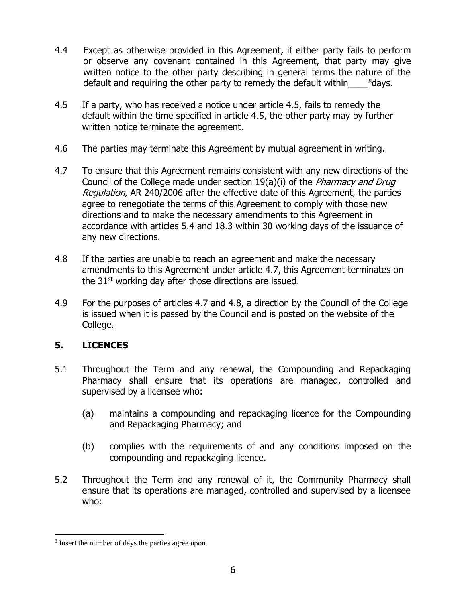- 4.4 Except as otherwise provided in this Agreement, if either party fails to perform or observe any covenant contained in this Agreement, that party may give written notice to the other party describing in general terms the nature of the default and requiring the other party to remedy the default within\_\_\_\_<sup>8</sup>days.
- 4.5 If a party, who has received a notice under article 4.5, fails to remedy the default within the time specified in article 4.5, the other party may by further written notice terminate the agreement.
- 4.6 The parties may terminate this Agreement by mutual agreement in writing.
- 4.7 To ensure that this Agreement remains consistent with any new directions of the Council of the College made under section 19(a)(i) of the *Pharmacy and Drug* Regulation, AR 240/2006 after the effective date of this Agreement, the parties agree to renegotiate the terms of this Agreement to comply with those new directions and to make the necessary amendments to this Agreement in accordance with articles 5.4 and 18.3 within 30 working days of the issuance of any new directions.
- 4.8 If the parties are unable to reach an agreement and make the necessary amendments to this Agreement under article 4.7, this Agreement terminates on the  $31<sup>st</sup>$  working day after those directions are issued.
- 4.9 For the purposes of articles 4.7 and 4.8, a direction by the Council of the College is issued when it is passed by the Council and is posted on the website of the College.

# **5. LICENCES**

 $\overline{a}$ 

- 5.1 Throughout the Term and any renewal, the Compounding and Repackaging Pharmacy shall ensure that its operations are managed, controlled and supervised by a licensee who:
	- (a) maintains a compounding and repackaging licence for the Compounding and Repackaging Pharmacy; and
	- (b) complies with the requirements of and any conditions imposed on the compounding and repackaging licence.
- 5.2 Throughout the Term and any renewal of it, the Community Pharmacy shall ensure that its operations are managed, controlled and supervised by a licensee who:

<sup>&</sup>lt;sup>8</sup> Insert the number of days the parties agree upon.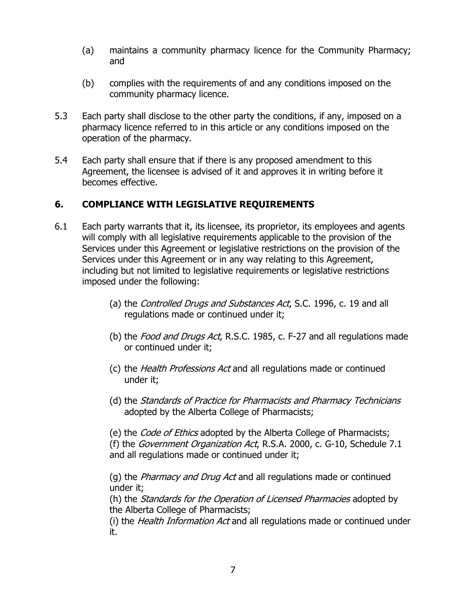- (a) maintains a community pharmacy licence for the Community Pharmacy; and
- (b) complies with the requirements of and any conditions imposed on the community pharmacy licence.
- 5.3 Each party shall disclose to the other party the conditions, if any, imposed on a pharmacy licence referred to in this article or any conditions imposed on the operation of the pharmacy.
- 5.4 Each party shall ensure that if there is any proposed amendment to this Agreement, the licensee is advised of it and approves it in writing before it becomes effective.

## **6. COMPLIANCE WITH LEGISLATIVE REQUIREMENTS**

- 6.1 Each party warrants that it, its licensee, its proprietor, its employees and agents will comply with all legislative requirements applicable to the provision of the Services under this Agreement or legislative restrictions on the provision of the Services under this Agreement or in any way relating to this Agreement, including but not limited to legislative requirements or legislative restrictions imposed under the following:
	- (a) the Controlled Drugs and Substances Act, S.C. 1996, c. 19 and all regulations made or continued under it;
	- (b) the Food and Drugs Act, R.S.C. 1985, c. F-27 and all regulations made or continued under it;
	- (c) the Health Professions Act and all regulations made or continued under it;
	- (d) the Standards of Practice for Pharmacists and Pharmacy Technicians adopted by the Alberta College of Pharmacists;

(e) the *Code of Ethics* adopted by the Alberta College of Pharmacists; (f) the Government Organization Act, R.S.A. 2000, c. G-10, Schedule 7.1 and all regulations made or continued under it;

(g) the Pharmacy and Drug Act and all regulations made or continued under it;

(h) the *Standards for the Operation of Licensed Pharmacies* adopted by the Alberta College of Pharmacists;

(i) the Health Information Act and all regulations made or continued under it.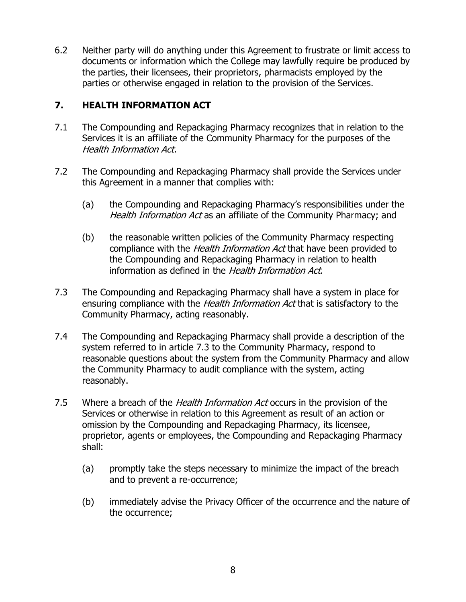6.2 Neither party will do anything under this Agreement to frustrate or limit access to documents or information which the College may lawfully require be produced by the parties, their licensees, their proprietors, pharmacists employed by the parties or otherwise engaged in relation to the provision of the Services.

# **7. HEALTH INFORMATION ACT**

- 7.1 The Compounding and Repackaging Pharmacy recognizes that in relation to the Services it is an affiliate of the Community Pharmacy for the purposes of the Health Information Act.
- 7.2 The Compounding and Repackaging Pharmacy shall provide the Services under this Agreement in a manner that complies with:
	- (a) the Compounding and Repackaging Pharmacy's responsibilities under the Health Information Act as an affiliate of the Community Pharmacy; and
	- (b) the reasonable written policies of the Community Pharmacy respecting compliance with the *Health Information Act* that have been provided to the Compounding and Repackaging Pharmacy in relation to health information as defined in the Health Information Act.
- 7.3 The Compounding and Repackaging Pharmacy shall have a system in place for ensuring compliance with the *Health Information Act* that is satisfactory to the Community Pharmacy, acting reasonably.
- 7.4 The Compounding and Repackaging Pharmacy shall provide a description of the system referred to in article 7.3 to the Community Pharmacy, respond to reasonable questions about the system from the Community Pharmacy and allow the Community Pharmacy to audit compliance with the system, acting reasonably.
- 7.5 Where a breach of the *Health Information Act* occurs in the provision of the Services or otherwise in relation to this Agreement as result of an action or omission by the Compounding and Repackaging Pharmacy, its licensee, proprietor, agents or employees, the Compounding and Repackaging Pharmacy shall:
	- (a) promptly take the steps necessary to minimize the impact of the breach and to prevent a re-occurrence;
	- (b) immediately advise the Privacy Officer of the occurrence and the nature of the occurrence;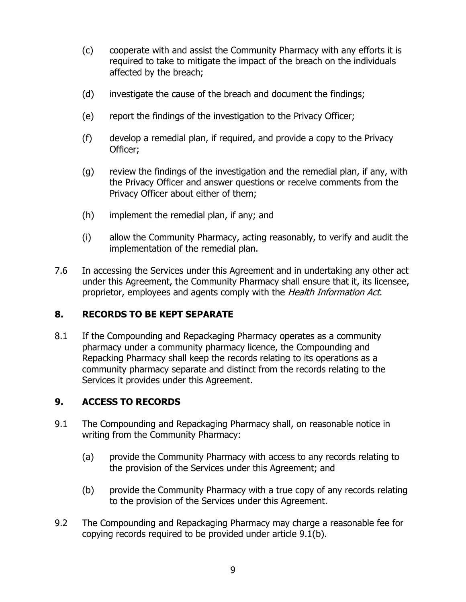- (c) cooperate with and assist the Community Pharmacy with any efforts it is required to take to mitigate the impact of the breach on the individuals affected by the breach;
- (d) investigate the cause of the breach and document the findings;
- (e) report the findings of the investigation to the Privacy Officer;
- (f) develop a remedial plan, if required, and provide a copy to the Privacy Officer;
- (g) review the findings of the investigation and the remedial plan, if any, with the Privacy Officer and answer questions or receive comments from the Privacy Officer about either of them;
- (h) implement the remedial plan, if any; and
- (i) allow the Community Pharmacy, acting reasonably, to verify and audit the implementation of the remedial plan.
- 7.6 In accessing the Services under this Agreement and in undertaking any other act under this Agreement, the Community Pharmacy shall ensure that it, its licensee, proprietor, employees and agents comply with the Health Information Act.

# **8. RECORDS TO BE KEPT SEPARATE**

8.1 If the Compounding and Repackaging Pharmacy operates as a community pharmacy under a community pharmacy licence, the Compounding and Repacking Pharmacy shall keep the records relating to its operations as a community pharmacy separate and distinct from the records relating to the Services it provides under this Agreement.

# **9. ACCESS TO RECORDS**

- 9.1 The Compounding and Repackaging Pharmacy shall, on reasonable notice in writing from the Community Pharmacy:
	- (a) provide the Community Pharmacy with access to any records relating to the provision of the Services under this Agreement; and
	- (b) provide the Community Pharmacy with a true copy of any records relating to the provision of the Services under this Agreement.
- 9.2 The Compounding and Repackaging Pharmacy may charge a reasonable fee for copying records required to be provided under article 9.1(b).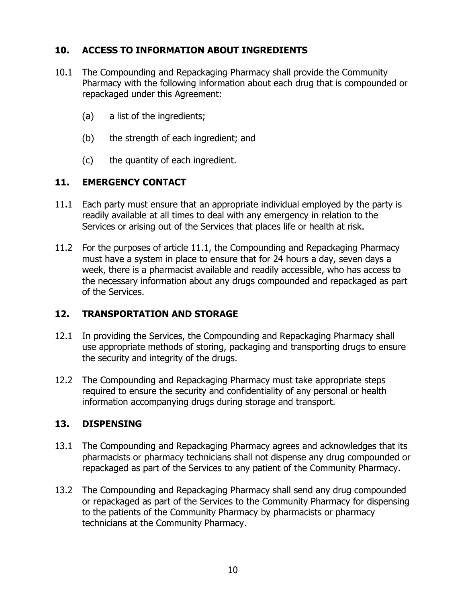# **10. ACCESS TO INFORMATION ABOUT INGREDIENTS**

- 10.1 The Compounding and Repackaging Pharmacy shall provide the Community Pharmacy with the following information about each drug that is compounded or repackaged under this Agreement:
	- (a) a list of the ingredients;
	- (b) the strength of each ingredient; and
	- (c) the quantity of each ingredient.

#### **11. EMERGENCY CONTACT**

- 11.1 Each party must ensure that an appropriate individual employed by the party is readily available at all times to deal with any emergency in relation to the Services or arising out of the Services that places life or health at risk.
- 11.2 For the purposes of article 11.1, the Compounding and Repackaging Pharmacy must have a system in place to ensure that for 24 hours a day, seven days a week, there is a pharmacist available and readily accessible, who has access to the necessary information about any drugs compounded and repackaged as part of the Services.

#### **12. TRANSPORTATION AND STORAGE**

- 12.1 In providing the Services, the Compounding and Repackaging Pharmacy shall use appropriate methods of storing, packaging and transporting drugs to ensure the security and integrity of the drugs.
- 12.2 The Compounding and Repackaging Pharmacy must take appropriate steps required to ensure the security and confidentiality of any personal or health information accompanying drugs during storage and transport.

#### **13. DISPENSING**

- 13.1 The Compounding and Repackaging Pharmacy agrees and acknowledges that its pharmacists or pharmacy technicians shall not dispense any drug compounded or repackaged as part of the Services to any patient of the Community Pharmacy.
- 13.2 The Compounding and Repackaging Pharmacy shall send any drug compounded or repackaged as part of the Services to the Community Pharmacy for dispensing to the patients of the Community Pharmacy by pharmacists or pharmacy technicians at the Community Pharmacy.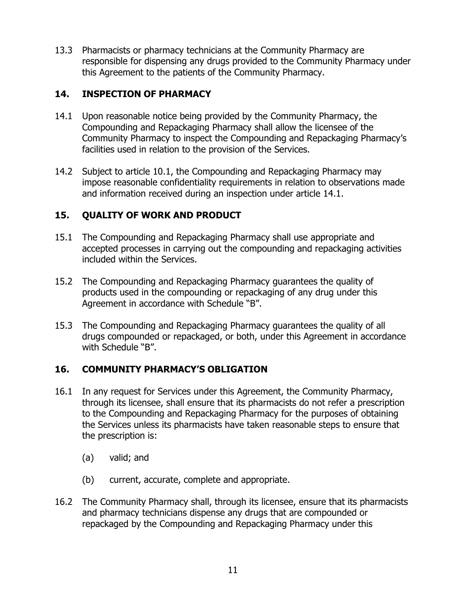13.3 Pharmacists or pharmacy technicians at the Community Pharmacy are responsible for dispensing any drugs provided to the Community Pharmacy under this Agreement to the patients of the Community Pharmacy.

## **14. INSPECTION OF PHARMACY**

- 14.1 Upon reasonable notice being provided by the Community Pharmacy, the Compounding and Repackaging Pharmacy shall allow the licensee of the Community Pharmacy to inspect the Compounding and Repackaging Pharmacy's facilities used in relation to the provision of the Services.
- 14.2 Subject to article 10.1, the Compounding and Repackaging Pharmacy may impose reasonable confidentiality requirements in relation to observations made and information received during an inspection under article 14.1.

## **15. QUALITY OF WORK AND PRODUCT**

- 15.1 The Compounding and Repackaging Pharmacy shall use appropriate and accepted processes in carrying out the compounding and repackaging activities included within the Services.
- 15.2 The Compounding and Repackaging Pharmacy guarantees the quality of products used in the compounding or repackaging of any drug under this Agreement in accordance with Schedule "B".
- 15.3 The Compounding and Repackaging Pharmacy guarantees the quality of all drugs compounded or repackaged, or both, under this Agreement in accordance with Schedule "B".

# **16. COMMUNITY PHARMACY'S OBLIGATION**

- 16.1 In any request for Services under this Agreement, the Community Pharmacy, through its licensee, shall ensure that its pharmacists do not refer a prescription to the Compounding and Repackaging Pharmacy for the purposes of obtaining the Services unless its pharmacists have taken reasonable steps to ensure that the prescription is:
	- (a) valid; and
	- (b) current, accurate, complete and appropriate.
- 16.2 The Community Pharmacy shall, through its licensee, ensure that its pharmacists and pharmacy technicians dispense any drugs that are compounded or repackaged by the Compounding and Repackaging Pharmacy under this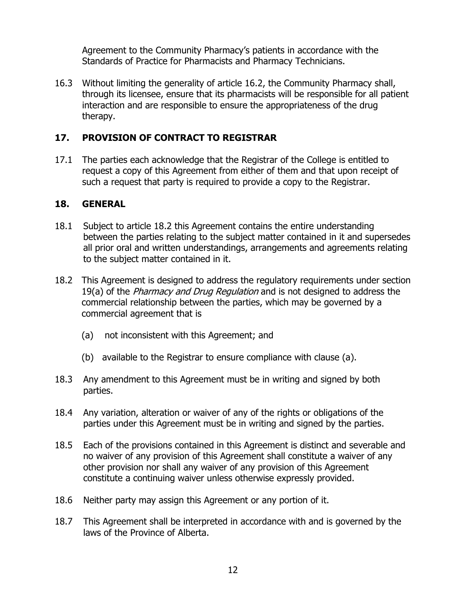Agreement to the Community Pharmacy's patients in accordance with the Standards of Practice for Pharmacists and Pharmacy Technicians.

16.3 Without limiting the generality of article 16.2, the Community Pharmacy shall, through its licensee, ensure that its pharmacists will be responsible for all patient interaction and are responsible to ensure the appropriateness of the drug therapy.

# **17. PROVISION OF CONTRACT TO REGISTRAR**

17.1 The parties each acknowledge that the Registrar of the College is entitled to request a copy of this Agreement from either of them and that upon receipt of such a request that party is required to provide a copy to the Registrar.

## **18. GENERAL**

- 18.1 Subject to article 18.2 this Agreement contains the entire understanding between the parties relating to the subject matter contained in it and supersedes all prior oral and written understandings, arrangements and agreements relating to the subject matter contained in it.
- 18.2 This Agreement is designed to address the regulatory requirements under section 19(a) of the *Pharmacy and Drug Regulation* and is not designed to address the commercial relationship between the parties, which may be governed by a commercial agreement that is
	- (a) not inconsistent with this Agreement; and
	- (b) available to the Registrar to ensure compliance with clause (a).
- 18.3 Any amendment to this Agreement must be in writing and signed by both parties.
- 18.4 Any variation, alteration or waiver of any of the rights or obligations of the parties under this Agreement must be in writing and signed by the parties.
- 18.5 Each of the provisions contained in this Agreement is distinct and severable and no waiver of any provision of this Agreement shall constitute a waiver of any other provision nor shall any waiver of any provision of this Agreement constitute a continuing waiver unless otherwise expressly provided.
- 18.6 Neither party may assign this Agreement or any portion of it.
- 18.7 This Agreement shall be interpreted in accordance with and is governed by the laws of the Province of Alberta.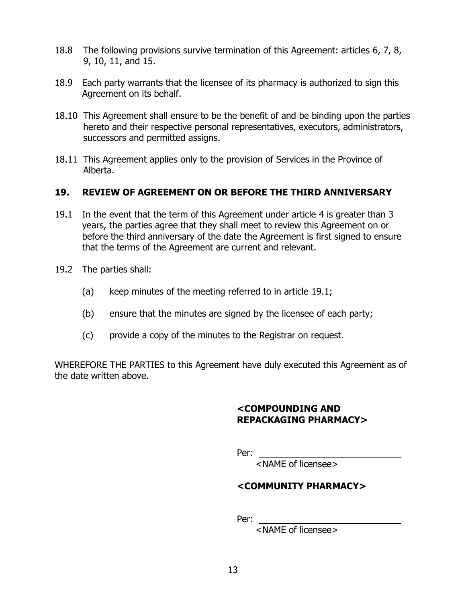- 18.8 The following provisions survive termination of this Agreement: articles 6, 7, 8, 9, 10, 11, and 15.
- 18.9 Each party warrants that the licensee of its pharmacy is authorized to sign this Agreement on its behalf.
- 18.10 This Agreement shall ensure to be the benefit of and be binding upon the parties hereto and their respective personal representatives, executors, administrators, successors and permitted assigns.
- 18.11 This Agreement applies only to the provision of Services in the Province of Alberta.

## **19. REVIEW OF AGREEMENT ON OR BEFORE THE THIRD ANNIVERSARY**

- 19.1 In the event that the term of this Agreement under article 4 is greater than 3 years, the parties agree that they shall meet to review this Agreement on or before the third anniversary of the date the Agreement is first signed to ensure that the terms of the Agreement are current and relevant.
- 19.2 The parties shall:
	- (a) keep minutes of the meeting referred to in article 19.1;
	- (b) ensure that the minutes are signed by the licensee of each party;
	- (c) provide a copy of the minutes to the Registrar on request.

WHEREFORE THE PARTIES to this Agreement have duly executed this Agreement as of the date written above.

#### **<COMPOUNDING AND REPACKAGING PHARMACY>**

Per: **Perimeter** 

<NAME of licensee>

# **<COMMUNITY PHARMACY>**

Per:

<NAME of licensee>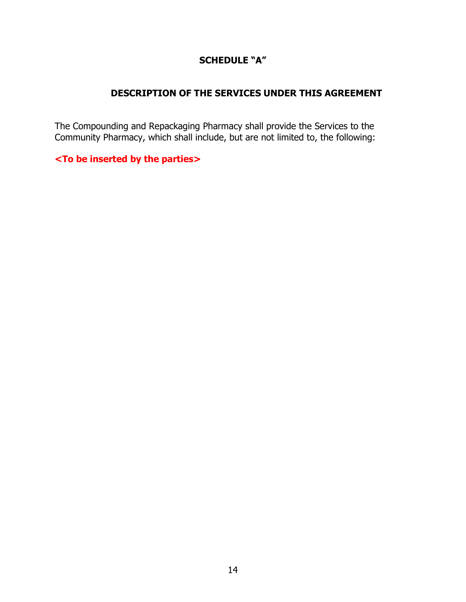# **SCHEDULE "A"**

#### **DESCRIPTION OF THE SERVICES UNDER THIS AGREEMENT**

The Compounding and Repackaging Pharmacy shall provide the Services to the Community Pharmacy, which shall include, but are not limited to, the following:

#### **<To be inserted by the parties>**